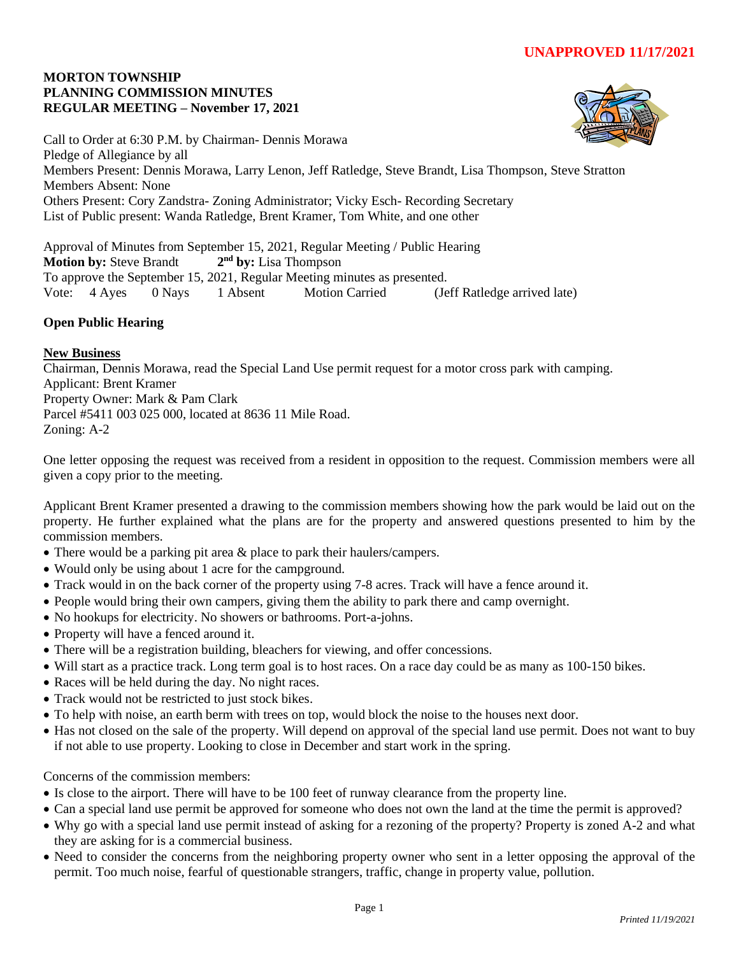#### **MORTON TOWNSHIP PLANNING COMMISSION MINUTES REGULAR MEETING – November 17, 2021**



Call to Order at 6:30 P.M. by Chairman- Dennis Morawa Pledge of Allegiance by all Members Present: Dennis Morawa, Larry Lenon, Jeff Ratledge, Steve Brandt, Lisa Thompson, Steve Stratton Members Absent: None Others Present: Cory Zandstra- Zoning Administrator; Vicky Esch- Recording Secretary List of Public present: Wanda Ratledge, Brent Kramer, Tom White, and one other

Approval of Minutes from September 15, 2021, Regular Meeting / Public Hearing **Motion by: Steve Brandt** 2<sup>nd</sup> by: Lisa Thompson To approve the September 15, 2021, Regular Meeting minutes as presented. Vote: 4 Ayes 0 Nays 1 Absent Motion Carried (Jeff Ratledge arrived late)

# **Open Public Hearing**

## **New Business**

Chairman, Dennis Morawa, read the Special Land Use permit request for a motor cross park with camping. Applicant: Brent Kramer Property Owner: Mark & Pam Clark Parcel #5411 003 025 000, located at 8636 11 Mile Road. Zoning: A-2

One letter opposing the request was received from a resident in opposition to the request. Commission members were all given a copy prior to the meeting.

Applicant Brent Kramer presented a drawing to the commission members showing how the park would be laid out on the property. He further explained what the plans are for the property and answered questions presented to him by the commission members.

- There would be a parking pit area & place to park their haulers/campers.
- Would only be using about 1 acre for the campground.
- Track would in on the back corner of the property using 7-8 acres. Track will have a fence around it.
- People would bring their own campers, giving them the ability to park there and camp overnight.
- No hookups for electricity. No showers or bathrooms. Port-a-johns.
- Property will have a fenced around it.
- There will be a registration building, bleachers for viewing, and offer concessions.
- Will start as a practice track. Long term goal is to host races. On a race day could be as many as 100-150 bikes.
- Races will be held during the day. No night races.
- Track would not be restricted to just stock bikes.
- To help with noise, an earth berm with trees on top, would block the noise to the houses next door.
- Has not closed on the sale of the property. Will depend on approval of the special land use permit. Does not want to buy if not able to use property. Looking to close in December and start work in the spring.

Concerns of the commission members:

- Is close to the airport. There will have to be 100 feet of runway clearance from the property line.
- Can a special land use permit be approved for someone who does not own the land at the time the permit is approved?
- Why go with a special land use permit instead of asking for a rezoning of the property? Property is zoned A-2 and what they are asking for is a commercial business.
- Need to consider the concerns from the neighboring property owner who sent in a letter opposing the approval of the permit. Too much noise, fearful of questionable strangers, traffic, change in property value, pollution.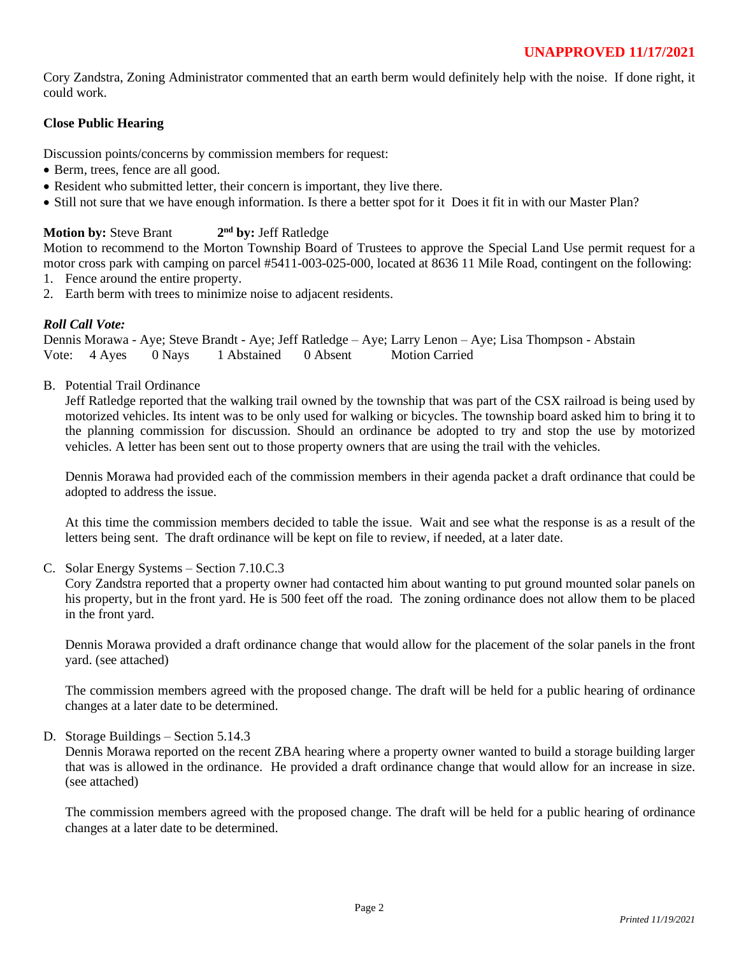Cory Zandstra, Zoning Administrator commented that an earth berm would definitely help with the noise. If done right, it could work.

# **Close Public Hearing**

Discussion points/concerns by commission members for request:

- Berm, trees, fence are all good.
- Resident who submitted letter, their concern is important, they live there.
- Still not sure that we have enough information. Is there a better spot for it Does it fit in with our Master Plan?

#### **Motion by: Steve Brant nd by:** Jeff Ratledge

Motion to recommend to the Morton Township Board of Trustees to approve the Special Land Use permit request for a motor cross park with camping on parcel #5411-003-025-000, located at 8636 11 Mile Road, contingent on the following:

- 1. Fence around the entire property.
- 2. Earth berm with trees to minimize noise to adjacent residents.

# *Roll Call Vote:*

Dennis Morawa - Aye; Steve Brandt - Aye; Jeff Ratledge – Aye; Larry Lenon – Aye; Lisa Thompson - Abstain Vote: 4 Ayes 0 Nays 1 Abstained 0 Absent Motion Carried

B. Potential Trail Ordinance

Jeff Ratledge reported that the walking trail owned by the township that was part of the CSX railroad is being used by motorized vehicles. Its intent was to be only used for walking or bicycles. The township board asked him to bring it to the planning commission for discussion. Should an ordinance be adopted to try and stop the use by motorized vehicles. A letter has been sent out to those property owners that are using the trail with the vehicles.

Dennis Morawa had provided each of the commission members in their agenda packet a draft ordinance that could be adopted to address the issue.

At this time the commission members decided to table the issue. Wait and see what the response is as a result of the letters being sent. The draft ordinance will be kept on file to review, if needed, at a later date.

C. Solar Energy Systems – Section 7.10.C.3

Cory Zandstra reported that a property owner had contacted him about wanting to put ground mounted solar panels on his property, but in the front yard. He is 500 feet off the road. The zoning ordinance does not allow them to be placed in the front yard.

Dennis Morawa provided a draft ordinance change that would allow for the placement of the solar panels in the front yard. (see attached)

The commission members agreed with the proposed change. The draft will be held for a public hearing of ordinance changes at a later date to be determined.

D. Storage Buildings – Section 5.14.3

Dennis Morawa reported on the recent ZBA hearing where a property owner wanted to build a storage building larger that was is allowed in the ordinance. He provided a draft ordinance change that would allow for an increase in size. (see attached)

The commission members agreed with the proposed change. The draft will be held for a public hearing of ordinance changes at a later date to be determined.